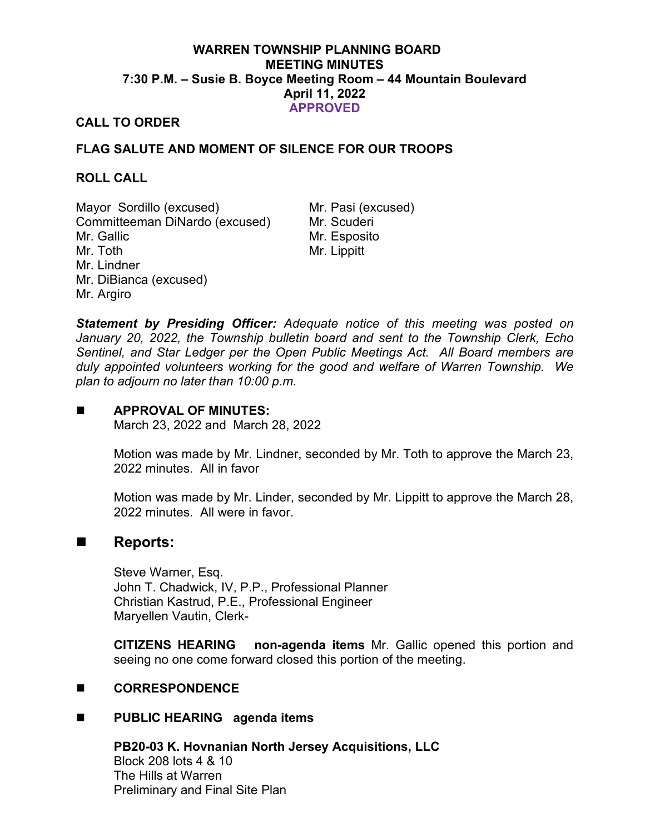# **WARREN TOWNSHIP PLANNING BOARD MEETING MINUTES 7:30 P.M. – Susie B. Boyce Meeting Room – 44 Mountain Boulevard April 11, 2022 APPROVED**

# **CALL TO ORDER**

# **FLAG SALUTE AND MOMENT OF SILENCE FOR OUR TROOPS**

### **ROLL CALL**

Mayor Sordillo (excused) Mr. Pasi (excused) Committeeman DiNardo (excused) Mr. Scuderi Mr. Gallic Mr. Toth Mr. Lindner Mr. DiBianca (excused) Mr. Argiro

Mr. Esposito Mr. Lippitt

*Statement by Presiding Officer: Adequate notice of this meeting was posted on January 20, 2022, the Township bulletin board and sent to the Township Clerk, Echo Sentinel, and Star Ledger per the Open Public Meetings Act. All Board members are duly appointed volunteers working for the good and welfare of Warren Township. We plan to adjourn no later than 10:00 p.m.*

### **APPROVAL OF MINUTES:**

March 23, 2022 and March 28, 2022

Motion was made by Mr. Lindner, seconded by Mr. Toth to approve the March 23, 2022 minutes. All in favor

Motion was made by Mr. Linder, seconded by Mr. Lippitt to approve the March 28, 2022 minutes. All were in favor.

# ■ Reports:

Steve Warner, Esq. John T. Chadwick, IV, P.P., Professional Planner Christian Kastrud, P.E., Professional Engineer Maryellen Vautin, Clerk-

**CITIZENS HEARING non-agenda items** Mr. Gallic opened this portion and seeing no one come forward closed this portion of the meeting.

# **CORRESPONDENCE**

# **PUBLIC HEARING agenda items**

**PB20-03 K. Hovnanian North Jersey Acquisitions, LLC** Block 208 lots 4 & 10 The Hills at Warren Preliminary and Final Site Plan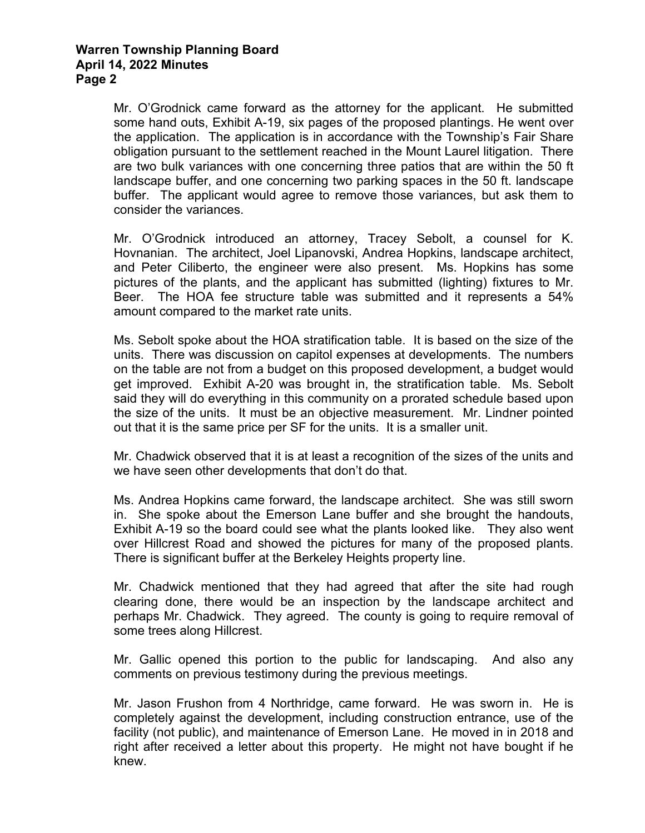Mr. O'Grodnick came forward as the attorney for the applicant. He submitted some hand outs, Exhibit A-19, six pages of the proposed plantings. He went over the application. The application is in accordance with the Township's Fair Share obligation pursuant to the settlement reached in the Mount Laurel litigation. There are two bulk variances with one concerning three patios that are within the 50 ft landscape buffer, and one concerning two parking spaces in the 50 ft. landscape buffer. The applicant would agree to remove those variances, but ask them to consider the variances.

Mr. O'Grodnick introduced an attorney, Tracey Sebolt, a counsel for K. Hovnanian. The architect, Joel Lipanovski, Andrea Hopkins, landscape architect, and Peter Ciliberto, the engineer were also present. Ms. Hopkins has some pictures of the plants, and the applicant has submitted (lighting) fixtures to Mr. Beer. The HOA fee structure table was submitted and it represents a 54% amount compared to the market rate units.

Ms. Sebolt spoke about the HOA stratification table. It is based on the size of the units. There was discussion on capitol expenses at developments. The numbers on the table are not from a budget on this proposed development, a budget would get improved. Exhibit A-20 was brought in, the stratification table. Ms. Sebolt said they will do everything in this community on a prorated schedule based upon the size of the units. It must be an objective measurement. Mr. Lindner pointed out that it is the same price per SF for the units. It is a smaller unit.

Mr. Chadwick observed that it is at least a recognition of the sizes of the units and we have seen other developments that don't do that.

Ms. Andrea Hopkins came forward, the landscape architect. She was still sworn in. She spoke about the Emerson Lane buffer and she brought the handouts, Exhibit A-19 so the board could see what the plants looked like. They also went over Hillcrest Road and showed the pictures for many of the proposed plants. There is significant buffer at the Berkeley Heights property line.

Mr. Chadwick mentioned that they had agreed that after the site had rough clearing done, there would be an inspection by the landscape architect and perhaps Mr. Chadwick. They agreed. The county is going to require removal of some trees along Hillcrest.

Mr. Gallic opened this portion to the public for landscaping. And also any comments on previous testimony during the previous meetings.

Mr. Jason Frushon from 4 Northridge, came forward. He was sworn in. He is completely against the development, including construction entrance, use of the facility (not public), and maintenance of Emerson Lane. He moved in in 2018 and right after received a letter about this property. He might not have bought if he knew.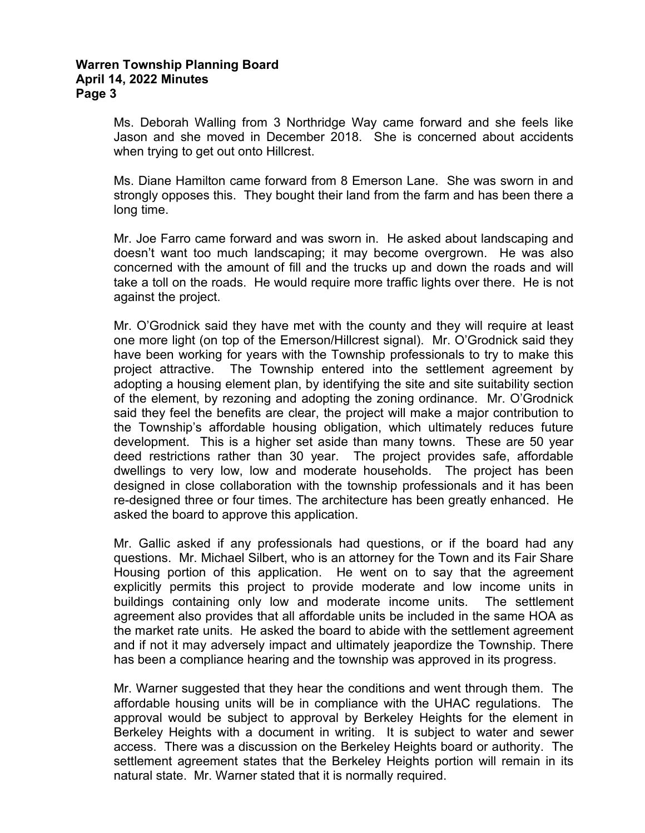Ms. Deborah Walling from 3 Northridge Way came forward and she feels like Jason and she moved in December 2018. She is concerned about accidents when trying to get out onto Hillcrest.

Ms. Diane Hamilton came forward from 8 Emerson Lane. She was sworn in and strongly opposes this. They bought their land from the farm and has been there a long time.

Mr. Joe Farro came forward and was sworn in. He asked about landscaping and doesn't want too much landscaping; it may become overgrown. He was also concerned with the amount of fill and the trucks up and down the roads and will take a toll on the roads. He would require more traffic lights over there. He is not against the project.

Mr. O'Grodnick said they have met with the county and they will require at least one more light (on top of the Emerson/Hillcrest signal). Mr. O'Grodnick said they have been working for years with the Township professionals to try to make this project attractive. The Township entered into the settlement agreement by adopting a housing element plan, by identifying the site and site suitability section of the element, by rezoning and adopting the zoning ordinance. Mr. O'Grodnick said they feel the benefits are clear, the project will make a major contribution to the Township's affordable housing obligation, which ultimately reduces future development. This is a higher set aside than many towns. These are 50 year deed restrictions rather than 30 year. The project provides safe, affordable dwellings to very low, low and moderate households. The project has been designed in close collaboration with the township professionals and it has been re-designed three or four times. The architecture has been greatly enhanced. He asked the board to approve this application.

Mr. Gallic asked if any professionals had questions, or if the board had any questions. Mr. Michael Silbert, who is an attorney for the Town and its Fair Share Housing portion of this application. He went on to say that the agreement explicitly permits this project to provide moderate and low income units in buildings containing only low and moderate income units. The settlement agreement also provides that all affordable units be included in the same HOA as the market rate units. He asked the board to abide with the settlement agreement and if not it may adversely impact and ultimately jeapordize the Township. There has been a compliance hearing and the township was approved in its progress.

Mr. Warner suggested that they hear the conditions and went through them. The affordable housing units will be in compliance with the UHAC regulations. The approval would be subject to approval by Berkeley Heights for the element in Berkeley Heights with a document in writing. It is subject to water and sewer access. There was a discussion on the Berkeley Heights board or authority. The settlement agreement states that the Berkeley Heights portion will remain in its natural state. Mr. Warner stated that it is normally required.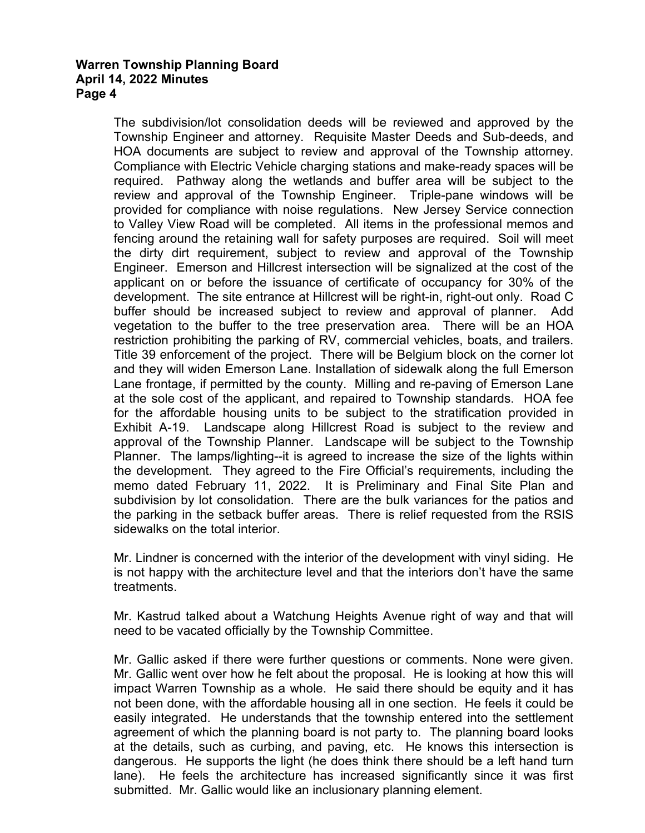The subdivision/lot consolidation deeds will be reviewed and approved by the Township Engineer and attorney. Requisite Master Deeds and Sub-deeds, and HOA documents are subject to review and approval of the Township attorney. Compliance with Electric Vehicle charging stations and make-ready spaces will be required. Pathway along the wetlands and buffer area will be subject to the review and approval of the Township Engineer. Triple-pane windows will be provided for compliance with noise regulations. New Jersey Service connection to Valley View Road will be completed. All items in the professional memos and fencing around the retaining wall for safety purposes are required. Soil will meet the dirty dirt requirement, subject to review and approval of the Township Engineer. Emerson and Hillcrest intersection will be signalized at the cost of the applicant on or before the issuance of certificate of occupancy for 30% of the development. The site entrance at Hillcrest will be right-in, right-out only. Road C buffer should be increased subject to review and approval of planner. Add vegetation to the buffer to the tree preservation area. There will be an HOA restriction prohibiting the parking of RV, commercial vehicles, boats, and trailers. Title 39 enforcement of the project. There will be Belgium block on the corner lot and they will widen Emerson Lane. Installation of sidewalk along the full Emerson Lane frontage, if permitted by the county. Milling and re-paving of Emerson Lane at the sole cost of the applicant, and repaired to Township standards. HOA fee for the affordable housing units to be subject to the stratification provided in Exhibit A-19. Landscape along Hillcrest Road is subject to the review and approval of the Township Planner. Landscape will be subject to the Township Planner. The lamps/lighting--it is agreed to increase the size of the lights within the development. They agreed to the Fire Official's requirements, including the memo dated February 11, 2022. It is Preliminary and Final Site Plan and subdivision by lot consolidation. There are the bulk variances for the patios and the parking in the setback buffer areas. There is relief requested from the RSIS sidewalks on the total interior.

Mr. Lindner is concerned with the interior of the development with vinyl siding. He is not happy with the architecture level and that the interiors don't have the same treatments.

Mr. Kastrud talked about a Watchung Heights Avenue right of way and that will need to be vacated officially by the Township Committee.

Mr. Gallic asked if there were further questions or comments. None were given. Mr. Gallic went over how he felt about the proposal. He is looking at how this will impact Warren Township as a whole. He said there should be equity and it has not been done, with the affordable housing all in one section. He feels it could be easily integrated. He understands that the township entered into the settlement agreement of which the planning board is not party to. The planning board looks at the details, such as curbing, and paving, etc. He knows this intersection is dangerous. He supports the light (he does think there should be a left hand turn lane). He feels the architecture has increased significantly since it was first submitted. Mr. Gallic would like an inclusionary planning element.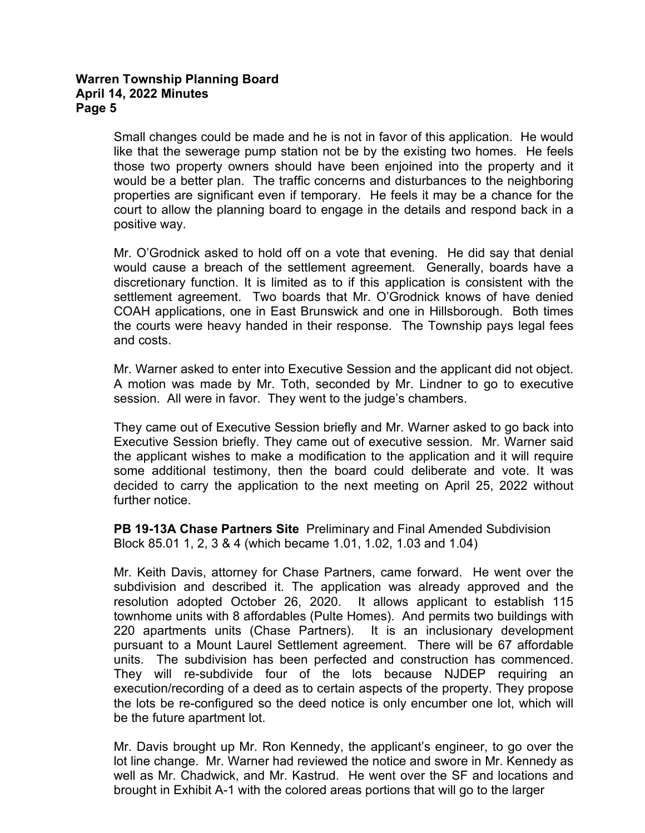Small changes could be made and he is not in favor of this application. He would like that the sewerage pump station not be by the existing two homes. He feels those two property owners should have been enjoined into the property and it would be a better plan. The traffic concerns and disturbances to the neighboring properties are significant even if temporary. He feels it may be a chance for the court to allow the planning board to engage in the details and respond back in a positive way.

Mr. O'Grodnick asked to hold off on a vote that evening. He did say that denial would cause a breach of the settlement agreement. Generally, boards have a discretionary function. It is limited as to if this application is consistent with the settlement agreement. Two boards that Mr. O'Grodnick knows of have denied COAH applications, one in East Brunswick and one in Hillsborough. Both times the courts were heavy handed in their response. The Township pays legal fees and costs.

Mr. Warner asked to enter into Executive Session and the applicant did not object. A motion was made by Mr. Toth, seconded by Mr. Lindner to go to executive session. All were in favor. They went to the judge's chambers.

They came out of Executive Session briefly and Mr. Warner asked to go back into Executive Session briefly. They came out of executive session. Mr. Warner said the applicant wishes to make a modification to the application and it will require some additional testimony, then the board could deliberate and vote. It was decided to carry the application to the next meeting on April 25, 2022 without further notice.

**PB 19-13A Chase Partners Site** Preliminary and Final Amended Subdivision Block 85.01 1, 2, 3 & 4 (which became 1.01, 1.02, 1.03 and 1.04)

Mr. Keith Davis, attorney for Chase Partners, came forward. He went over the subdivision and described it. The application was already approved and the resolution adopted October 26, 2020. It allows applicant to establish 115 townhome units with 8 affordables (Pulte Homes). And permits two buildings with 220 apartments units (Chase Partners). It is an inclusionary development pursuant to a Mount Laurel Settlement agreement. There will be 67 affordable units. The subdivision has been perfected and construction has commenced. They will re-subdivide four of the lots because NJDEP requiring an execution/recording of a deed as to certain aspects of the property. They propose the lots be re-configured so the deed notice is only encumber one lot, which will be the future apartment lot.

Mr. Davis brought up Mr. Ron Kennedy, the applicant's engineer, to go over the lot line change. Mr. Warner had reviewed the notice and swore in Mr. Kennedy as well as Mr. Chadwick, and Mr. Kastrud. He went over the SF and locations and brought in Exhibit A-1 with the colored areas portions that will go to the larger